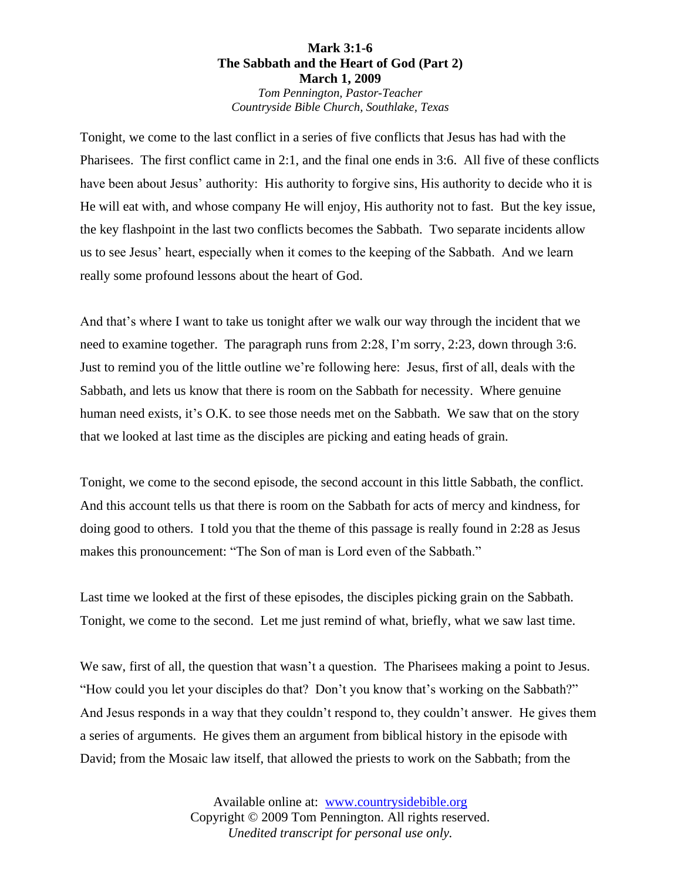## **Mark 3:1-6 The Sabbath and the Heart of God (Part 2) March 1, 2009** *Tom Pennington, Pastor-Teacher Countryside Bible Church, Southlake, Texas*

Tonight, we come to the last conflict in a series of five conflicts that Jesus has had with the Pharisees. The first conflict came in 2:1, and the final one ends in 3:6. All five of these conflicts have been about Jesus' authority: His authority to forgive sins, His authority to decide who it is He will eat with, and whose company He will enjoy, His authority not to fast. But the key issue, the key flashpoint in the last two conflicts becomes the Sabbath. Two separate incidents allow us to see Jesus' heart, especially when it comes to the keeping of the Sabbath. And we learn really some profound lessons about the heart of God.

And that's where I want to take us tonight after we walk our way through the incident that we need to examine together. The paragraph runs from 2:28, I'm sorry, 2:23, down through 3:6. Just to remind you of the little outline we're following here: Jesus, first of all, deals with the Sabbath, and lets us know that there is room on the Sabbath for necessity. Where genuine human need exists, it's O.K. to see those needs met on the Sabbath. We saw that on the story that we looked at last time as the disciples are picking and eating heads of grain.

Tonight, we come to the second episode, the second account in this little Sabbath, the conflict. And this account tells us that there is room on the Sabbath for acts of mercy and kindness, for doing good to others. I told you that the theme of this passage is really found in 2:28 as Jesus makes this pronouncement: "The Son of man is Lord even of the Sabbath."

Last time we looked at the first of these episodes, the disciples picking grain on the Sabbath. Tonight, we come to the second. Let me just remind of what, briefly, what we saw last time.

We saw, first of all, the question that wasn't a question. The Pharisees making a point to Jesus. "How could you let your disciples do that? Don't you know that's working on the Sabbath?" And Jesus responds in a way that they couldn't respond to, they couldn't answer. He gives them a series of arguments. He gives them an argument from biblical history in the episode with David; from the Mosaic law itself, that allowed the priests to work on the Sabbath; from the

> Available online at: [www.countrysidebible.org](http://www.countrysidebible.org/) Copyright © 2009 Tom Pennington. All rights reserved. *Unedited transcript for personal use only.*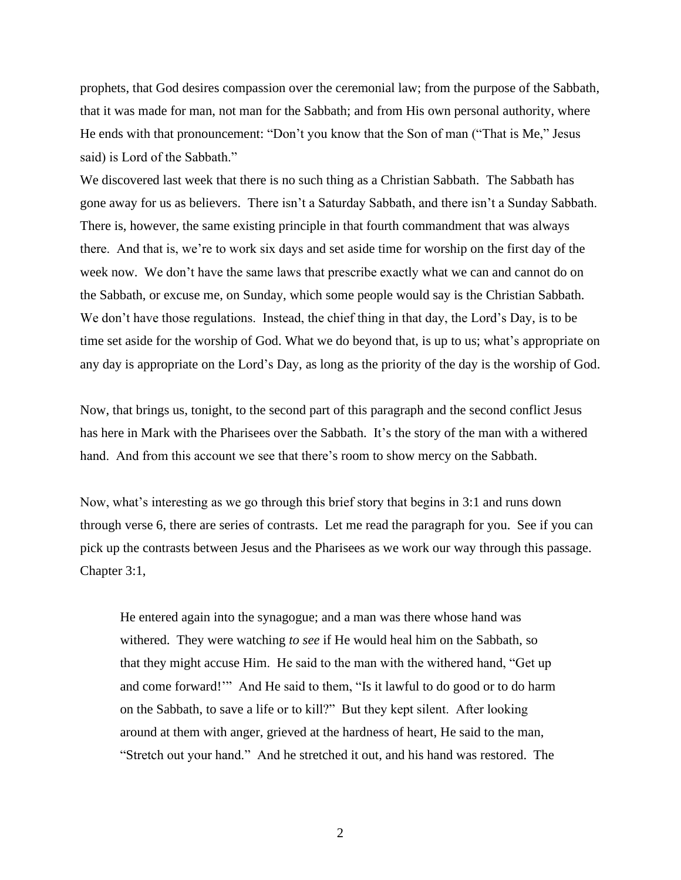prophets, that God desires compassion over the ceremonial law; from the purpose of the Sabbath, that it was made for man, not man for the Sabbath; and from His own personal authority, where He ends with that pronouncement: "Don't you know that the Son of man ("That is Me," Jesus said) is Lord of the Sabbath."

We discovered last week that there is no such thing as a Christian Sabbath. The Sabbath has gone away for us as believers. There isn't a Saturday Sabbath, and there isn't a Sunday Sabbath. There is, however, the same existing principle in that fourth commandment that was always there. And that is, we're to work six days and set aside time for worship on the first day of the week now. We don't have the same laws that prescribe exactly what we can and cannot do on the Sabbath, or excuse me, on Sunday, which some people would say is the Christian Sabbath. We don't have those regulations. Instead, the chief thing in that day, the Lord's Day, is to be time set aside for the worship of God. What we do beyond that, is up to us; what's appropriate on any day is appropriate on the Lord's Day, as long as the priority of the day is the worship of God.

Now, that brings us, tonight, to the second part of this paragraph and the second conflict Jesus has here in Mark with the Pharisees over the Sabbath. It's the story of the man with a withered hand. And from this account we see that there's room to show mercy on the Sabbath.

Now, what's interesting as we go through this brief story that begins in 3:1 and runs down through verse 6, there are series of contrasts. Let me read the paragraph for you. See if you can pick up the contrasts between Jesus and the Pharisees as we work our way through this passage. Chapter 3:1,

He entered again into the synagogue; and a man was there whose hand was withered. They were watching *to see* if He would heal him on the Sabbath, so that they might accuse Him. He said to the man with the withered hand, "Get up and come forward!'" And He said to them, "Is it lawful to do good or to do harm on the Sabbath, to save a life or to kill?" But they kept silent. After looking around at them with anger, grieved at the hardness of heart, He said to the man, "Stretch out your hand." And he stretched it out, and his hand was restored. The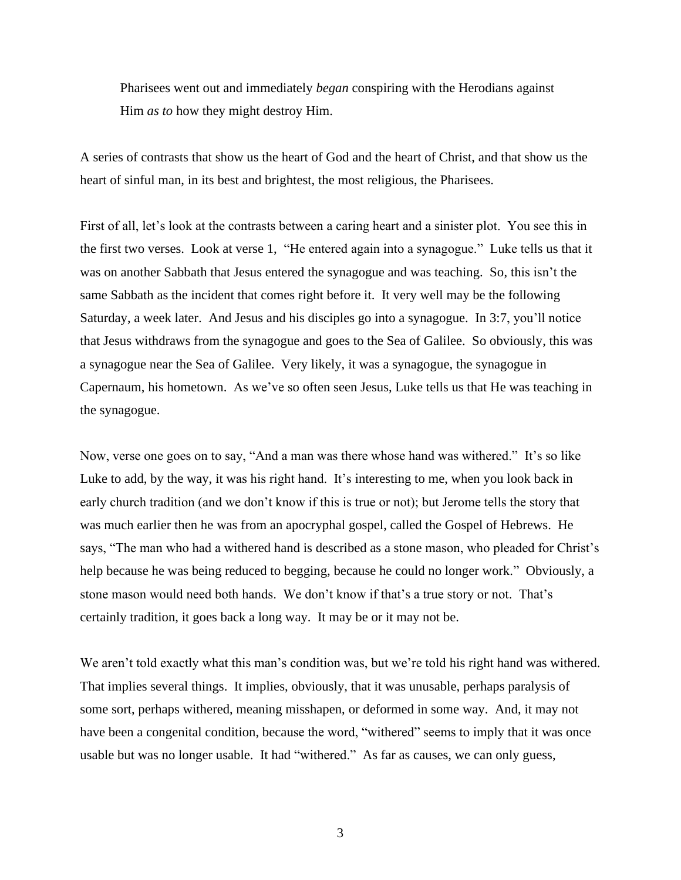Pharisees went out and immediately *began* conspiring with the Herodians against Him *as to* how they might destroy Him.

A series of contrasts that show us the heart of God and the heart of Christ, and that show us the heart of sinful man, in its best and brightest, the most religious, the Pharisees.

First of all, let's look at the contrasts between a caring heart and a sinister plot. You see this in the first two verses. Look at verse 1, "He entered again into a synagogue." Luke tells us that it was on another Sabbath that Jesus entered the synagogue and was teaching. So, this isn't the same Sabbath as the incident that comes right before it. It very well may be the following Saturday, a week later. And Jesus and his disciples go into a synagogue. In 3:7, you'll notice that Jesus withdraws from the synagogue and goes to the Sea of Galilee. So obviously, this was a synagogue near the Sea of Galilee. Very likely, it was a synagogue, the synagogue in Capernaum, his hometown. As we've so often seen Jesus, Luke tells us that He was teaching in the synagogue.

Now, verse one goes on to say, "And a man was there whose hand was withered." It's so like Luke to add, by the way, it was his right hand. It's interesting to me, when you look back in early church tradition (and we don't know if this is true or not); but Jerome tells the story that was much earlier then he was from an apocryphal gospel, called the Gospel of Hebrews. He says, "The man who had a withered hand is described as a stone mason, who pleaded for Christ's help because he was being reduced to begging, because he could no longer work." Obviously, a stone mason would need both hands. We don't know if that's a true story or not. That's certainly tradition, it goes back a long way. It may be or it may not be.

We aren't told exactly what this man's condition was, but we're told his right hand was withered. That implies several things. It implies, obviously, that it was unusable, perhaps paralysis of some sort, perhaps withered, meaning misshapen, or deformed in some way. And, it may not have been a congenital condition, because the word, "withered" seems to imply that it was once usable but was no longer usable. It had "withered." As far as causes, we can only guess,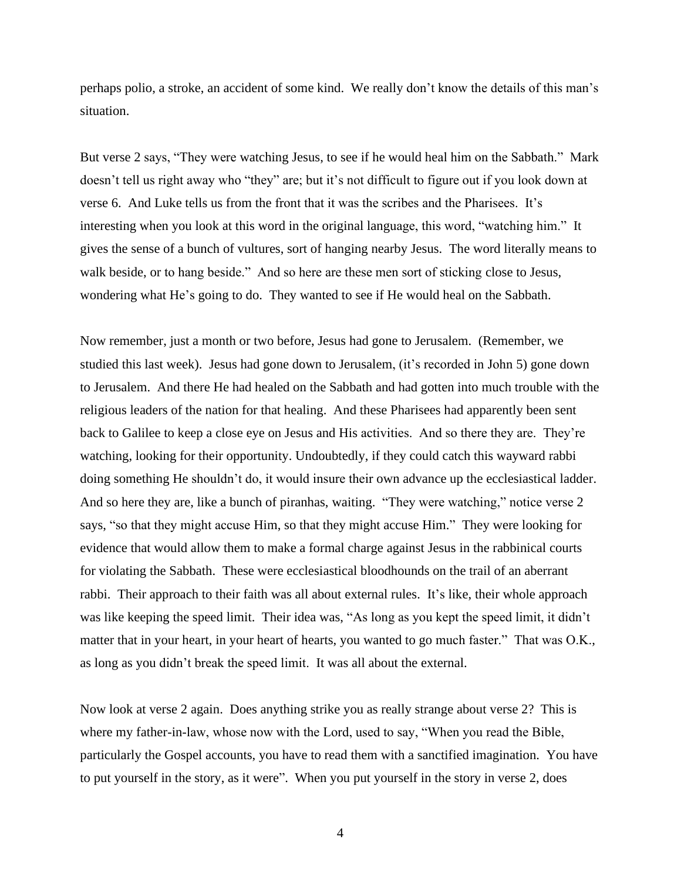perhaps polio, a stroke, an accident of some kind. We really don't know the details of this man's situation.

But verse 2 says, "They were watching Jesus, to see if he would heal him on the Sabbath." Mark doesn't tell us right away who "they" are; but it's not difficult to figure out if you look down at verse 6. And Luke tells us from the front that it was the scribes and the Pharisees. It's interesting when you look at this word in the original language, this word, "watching him." It gives the sense of a bunch of vultures, sort of hanging nearby Jesus. The word literally means to walk beside, or to hang beside." And so here are these men sort of sticking close to Jesus, wondering what He's going to do. They wanted to see if He would heal on the Sabbath.

Now remember, just a month or two before, Jesus had gone to Jerusalem. (Remember, we studied this last week). Jesus had gone down to Jerusalem, (it's recorded in John 5) gone down to Jerusalem. And there He had healed on the Sabbath and had gotten into much trouble with the religious leaders of the nation for that healing. And these Pharisees had apparently been sent back to Galilee to keep a close eye on Jesus and His activities. And so there they are. They're watching, looking for their opportunity. Undoubtedly, if they could catch this wayward rabbi doing something He shouldn't do, it would insure their own advance up the ecclesiastical ladder. And so here they are, like a bunch of piranhas, waiting. "They were watching," notice verse 2 says, "so that they might accuse Him, so that they might accuse Him." They were looking for evidence that would allow them to make a formal charge against Jesus in the rabbinical courts for violating the Sabbath. These were ecclesiastical bloodhounds on the trail of an aberrant rabbi. Their approach to their faith was all about external rules. It's like, their whole approach was like keeping the speed limit. Their idea was, "As long as you kept the speed limit, it didn't matter that in your heart, in your heart of hearts, you wanted to go much faster." That was O.K., as long as you didn't break the speed limit. It was all about the external.

Now look at verse 2 again. Does anything strike you as really strange about verse 2? This is where my father-in-law, whose now with the Lord, used to say, "When you read the Bible, particularly the Gospel accounts, you have to read them with a sanctified imagination. You have to put yourself in the story, as it were". When you put yourself in the story in verse 2, does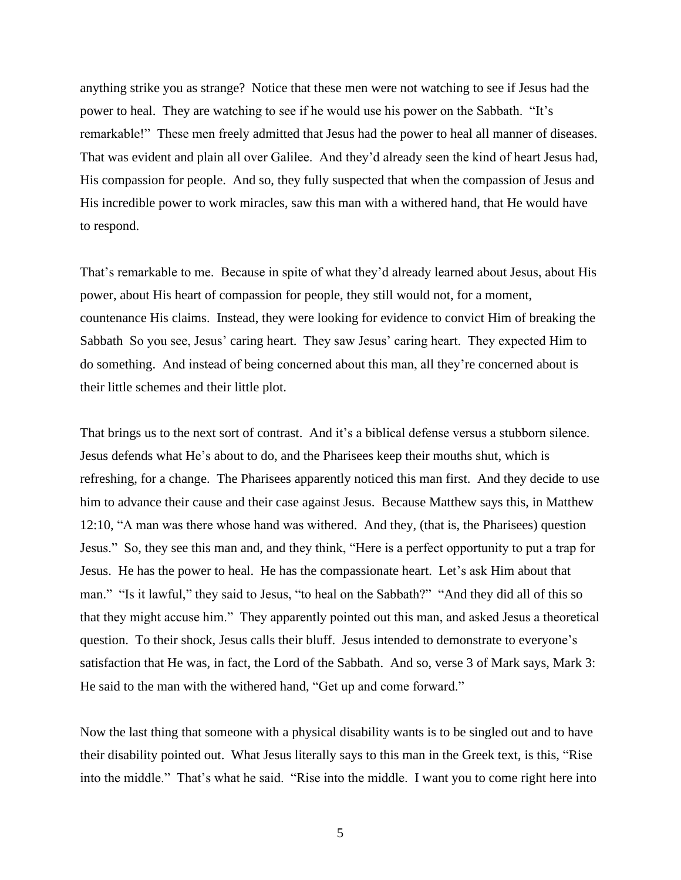anything strike you as strange? Notice that these men were not watching to see if Jesus had the power to heal. They are watching to see if he would use his power on the Sabbath. "It's remarkable!" These men freely admitted that Jesus had the power to heal all manner of diseases. That was evident and plain all over Galilee. And they'd already seen the kind of heart Jesus had, His compassion for people. And so, they fully suspected that when the compassion of Jesus and His incredible power to work miracles, saw this man with a withered hand, that He would have to respond.

That's remarkable to me. Because in spite of what they'd already learned about Jesus, about His power, about His heart of compassion for people, they still would not, for a moment, countenance His claims. Instead, they were looking for evidence to convict Him of breaking the Sabbath So you see, Jesus' caring heart. They saw Jesus' caring heart. They expected Him to do something. And instead of being concerned about this man, all they're concerned about is their little schemes and their little plot.

That brings us to the next sort of contrast. And it's a biblical defense versus a stubborn silence. Jesus defends what He's about to do, and the Pharisees keep their mouths shut, which is refreshing, for a change. The Pharisees apparently noticed this man first. And they decide to use him to advance their cause and their case against Jesus. Because Matthew says this, in Matthew 12:10, "A man was there whose hand was withered. And they, (that is, the Pharisees) question Jesus." So, they see this man and, and they think, "Here is a perfect opportunity to put a trap for Jesus. He has the power to heal. He has the compassionate heart. Let's ask Him about that man." "Is it lawful," they said to Jesus, "to heal on the Sabbath?" "And they did all of this so that they might accuse him." They apparently pointed out this man, and asked Jesus a theoretical question. To their shock, Jesus calls their bluff. Jesus intended to demonstrate to everyone's satisfaction that He was, in fact, the Lord of the Sabbath. And so, verse 3 of Mark says, Mark 3: He said to the man with the withered hand, "Get up and come forward."

Now the last thing that someone with a physical disability wants is to be singled out and to have their disability pointed out. What Jesus literally says to this man in the Greek text, is this, "Rise into the middle." That's what he said. "Rise into the middle. I want you to come right here into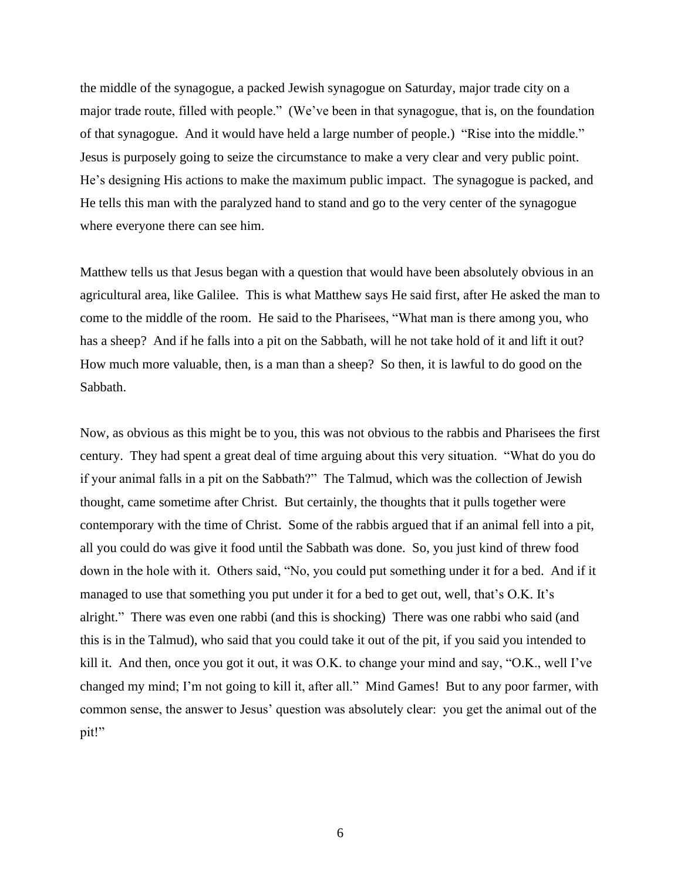the middle of the synagogue, a packed Jewish synagogue on Saturday, major trade city on a major trade route, filled with people." (We've been in that synagogue, that is, on the foundation of that synagogue. And it would have held a large number of people.) "Rise into the middle." Jesus is purposely going to seize the circumstance to make a very clear and very public point. He's designing His actions to make the maximum public impact. The synagogue is packed, and He tells this man with the paralyzed hand to stand and go to the very center of the synagogue where everyone there can see him.

Matthew tells us that Jesus began with a question that would have been absolutely obvious in an agricultural area, like Galilee. This is what Matthew says He said first, after He asked the man to come to the middle of the room. He said to the Pharisees, "What man is there among you, who has a sheep? And if he falls into a pit on the Sabbath, will he not take hold of it and lift it out? How much more valuable, then, is a man than a sheep? So then, it is lawful to do good on the Sabbath.

Now, as obvious as this might be to you, this was not obvious to the rabbis and Pharisees the first century. They had spent a great deal of time arguing about this very situation. "What do you do if your animal falls in a pit on the Sabbath?" The Talmud, which was the collection of Jewish thought, came sometime after Christ. But certainly, the thoughts that it pulls together were contemporary with the time of Christ. Some of the rabbis argued that if an animal fell into a pit, all you could do was give it food until the Sabbath was done. So, you just kind of threw food down in the hole with it. Others said, "No, you could put something under it for a bed. And if it managed to use that something you put under it for a bed to get out, well, that's O.K. It's alright." There was even one rabbi (and this is shocking) There was one rabbi who said (and this is in the Talmud), who said that you could take it out of the pit, if you said you intended to kill it. And then, once you got it out, it was O.K. to change your mind and say, "O.K., well I've changed my mind; I'm not going to kill it, after all." Mind Games! But to any poor farmer, with common sense, the answer to Jesus' question was absolutely clear: you get the animal out of the pit!"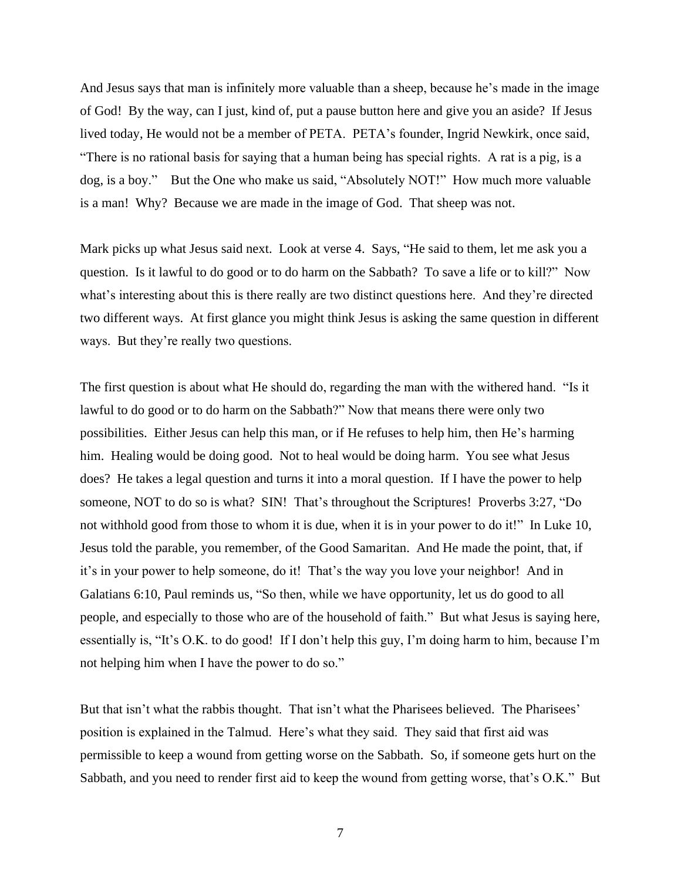And Jesus says that man is infinitely more valuable than a sheep, because he's made in the image of God! By the way, can I just, kind of, put a pause button here and give you an aside? If Jesus lived today, He would not be a member of PETA. PETA's founder, Ingrid Newkirk, once said, "There is no rational basis for saying that a human being has special rights. A rat is a pig, is a dog, is a boy." But the One who make us said, "Absolutely NOT!" How much more valuable is a man! Why? Because we are made in the image of God. That sheep was not.

Mark picks up what Jesus said next. Look at verse 4. Says, "He said to them, let me ask you a question. Is it lawful to do good or to do harm on the Sabbath? To save a life or to kill?" Now what's interesting about this is there really are two distinct questions here. And they're directed two different ways. At first glance you might think Jesus is asking the same question in different ways. But they're really two questions.

The first question is about what He should do, regarding the man with the withered hand. "Is it lawful to do good or to do harm on the Sabbath?" Now that means there were only two possibilities. Either Jesus can help this man, or if He refuses to help him, then He's harming him. Healing would be doing good. Not to heal would be doing harm. You see what Jesus does? He takes a legal question and turns it into a moral question. If I have the power to help someone, NOT to do so is what? SIN! That's throughout the Scriptures! Proverbs 3:27, "Do not withhold good from those to whom it is due, when it is in your power to do it!" In Luke 10, Jesus told the parable, you remember, of the Good Samaritan. And He made the point, that, if it's in your power to help someone, do it! That's the way you love your neighbor! And in Galatians 6:10, Paul reminds us, "So then, while we have opportunity, let us do good to all people, and especially to those who are of the household of faith." But what Jesus is saying here, essentially is, "It's O.K. to do good! If I don't help this guy, I'm doing harm to him, because I'm not helping him when I have the power to do so."

But that isn't what the rabbis thought. That isn't what the Pharisees believed. The Pharisees' position is explained in the Talmud. Here's what they said. They said that first aid was permissible to keep a wound from getting worse on the Sabbath. So, if someone gets hurt on the Sabbath, and you need to render first aid to keep the wound from getting worse, that's O.K." But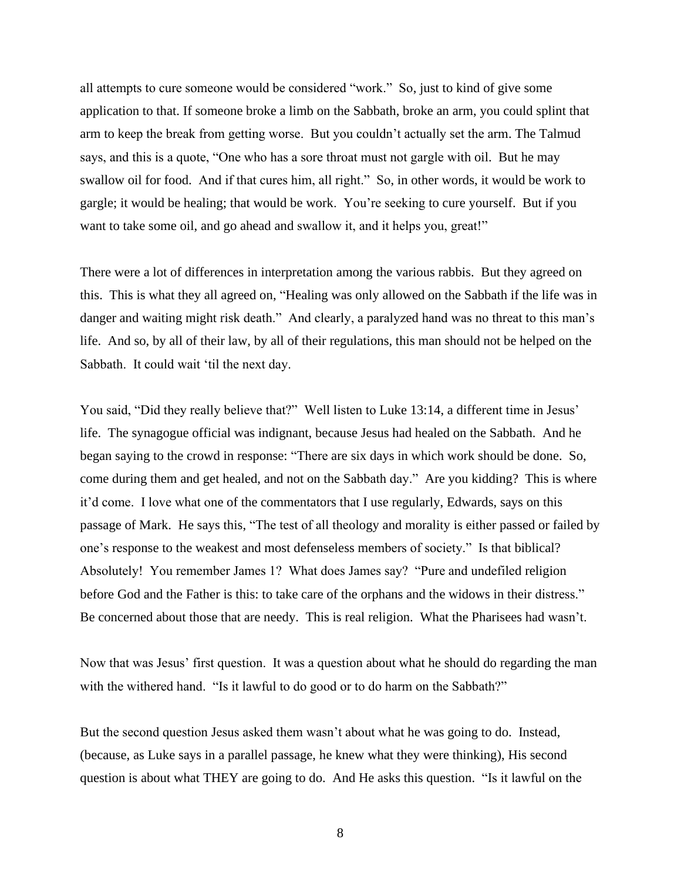all attempts to cure someone would be considered "work." So, just to kind of give some application to that. If someone broke a limb on the Sabbath, broke an arm, you could splint that arm to keep the break from getting worse. But you couldn't actually set the arm. The Talmud says, and this is a quote, "One who has a sore throat must not gargle with oil. But he may swallow oil for food. And if that cures him, all right." So, in other words, it would be work to gargle; it would be healing; that would be work. You're seeking to cure yourself. But if you want to take some oil, and go ahead and swallow it, and it helps you, great!"

There were a lot of differences in interpretation among the various rabbis. But they agreed on this. This is what they all agreed on, "Healing was only allowed on the Sabbath if the life was in danger and waiting might risk death." And clearly, a paralyzed hand was no threat to this man's life. And so, by all of their law, by all of their regulations, this man should not be helped on the Sabbath. It could wait 'til the next day.

You said, "Did they really believe that?" Well listen to Luke 13:14, a different time in Jesus' life. The synagogue official was indignant, because Jesus had healed on the Sabbath. And he began saying to the crowd in response: "There are six days in which work should be done. So, come during them and get healed, and not on the Sabbath day." Are you kidding? This is where it'd come. I love what one of the commentators that I use regularly, Edwards, says on this passage of Mark. He says this, "The test of all theology and morality is either passed or failed by one's response to the weakest and most defenseless members of society." Is that biblical? Absolutely! You remember James 1? What does James say? "Pure and undefiled religion before God and the Father is this: to take care of the orphans and the widows in their distress." Be concerned about those that are needy. This is real religion. What the Pharisees had wasn't.

Now that was Jesus' first question. It was a question about what he should do regarding the man with the withered hand. "Is it lawful to do good or to do harm on the Sabbath?"

But the second question Jesus asked them wasn't about what he was going to do. Instead, (because, as Luke says in a parallel passage, he knew what they were thinking), His second question is about what THEY are going to do. And He asks this question. "Is it lawful on the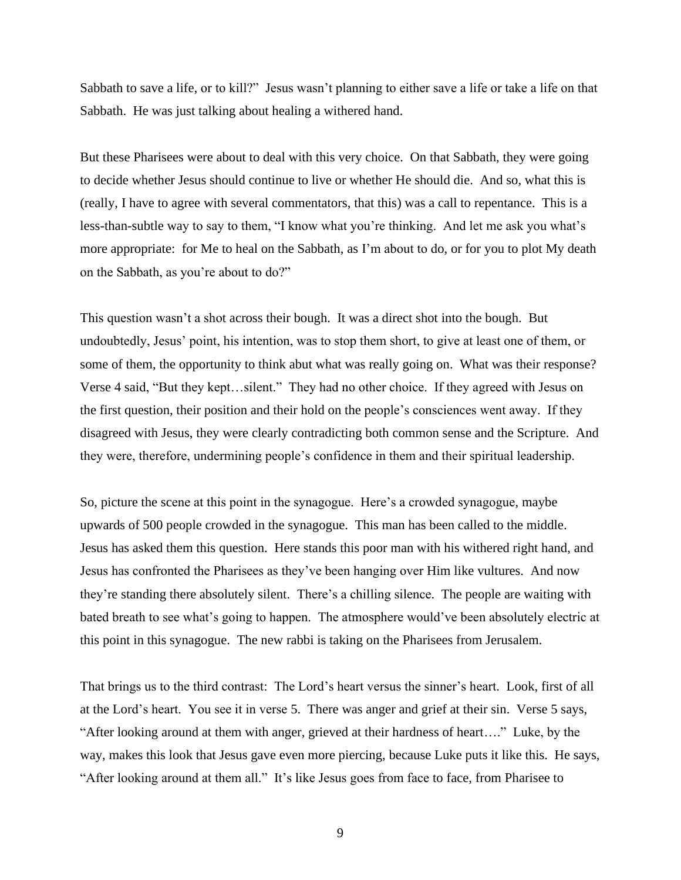Sabbath to save a life, or to kill?" Jesus wasn't planning to either save a life or take a life on that Sabbath. He was just talking about healing a withered hand.

But these Pharisees were about to deal with this very choice. On that Sabbath, they were going to decide whether Jesus should continue to live or whether He should die. And so, what this is (really, I have to agree with several commentators, that this) was a call to repentance. This is a less-than-subtle way to say to them, "I know what you're thinking. And let me ask you what's more appropriate: for Me to heal on the Sabbath, as I'm about to do, or for you to plot My death on the Sabbath, as you're about to do?"

This question wasn't a shot across their bough. It was a direct shot into the bough. But undoubtedly, Jesus' point, his intention, was to stop them short, to give at least one of them, or some of them, the opportunity to think abut what was really going on. What was their response? Verse 4 said, "But they kept…silent." They had no other choice. If they agreed with Jesus on the first question, their position and their hold on the people's consciences went away. If they disagreed with Jesus, they were clearly contradicting both common sense and the Scripture. And they were, therefore, undermining people's confidence in them and their spiritual leadership.

So, picture the scene at this point in the synagogue. Here's a crowded synagogue, maybe upwards of 500 people crowded in the synagogue. This man has been called to the middle. Jesus has asked them this question. Here stands this poor man with his withered right hand, and Jesus has confronted the Pharisees as they've been hanging over Him like vultures. And now they're standing there absolutely silent. There's a chilling silence. The people are waiting with bated breath to see what's going to happen. The atmosphere would've been absolutely electric at this point in this synagogue. The new rabbi is taking on the Pharisees from Jerusalem.

That brings us to the third contrast: The Lord's heart versus the sinner's heart. Look, first of all at the Lord's heart. You see it in verse 5. There was anger and grief at their sin. Verse 5 says, "After looking around at them with anger, grieved at their hardness of heart…." Luke, by the way, makes this look that Jesus gave even more piercing, because Luke puts it like this. He says, "After looking around at them all." It's like Jesus goes from face to face, from Pharisee to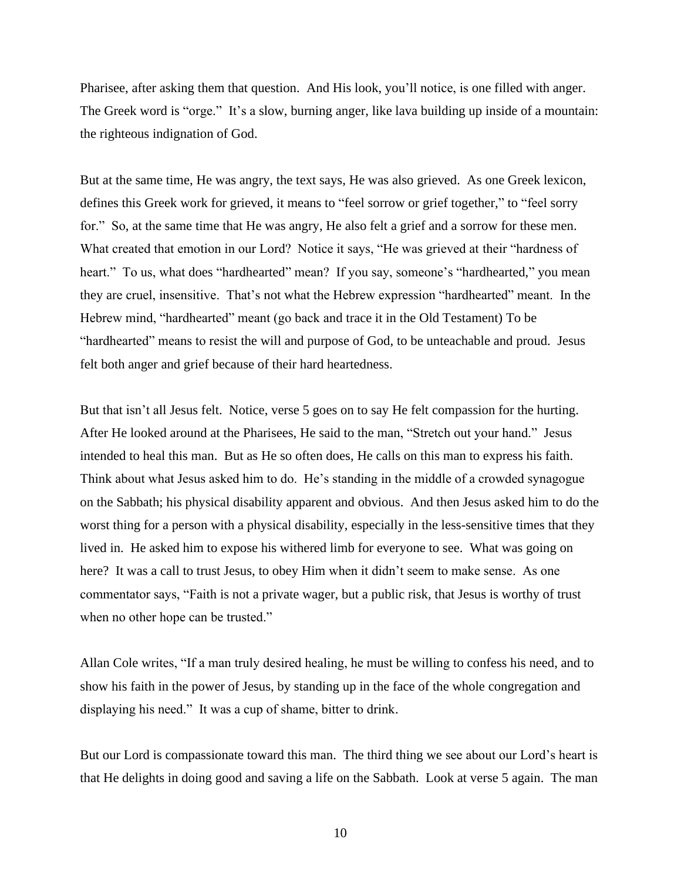Pharisee, after asking them that question. And His look, you'll notice, is one filled with anger. The Greek word is "orge." It's a slow, burning anger, like lava building up inside of a mountain: the righteous indignation of God.

But at the same time, He was angry, the text says, He was also grieved. As one Greek lexicon, defines this Greek work for grieved, it means to "feel sorrow or grief together," to "feel sorry for." So, at the same time that He was angry, He also felt a grief and a sorrow for these men. What created that emotion in our Lord? Notice it says, "He was grieved at their "hardness of heart." To us, what does "hardhearted" mean? If you say, someone's "hardhearted," you mean they are cruel, insensitive. That's not what the Hebrew expression "hardhearted" meant. In the Hebrew mind, "hardhearted" meant (go back and trace it in the Old Testament) To be "hardhearted" means to resist the will and purpose of God, to be unteachable and proud. Jesus felt both anger and grief because of their hard heartedness.

But that isn't all Jesus felt. Notice, verse 5 goes on to say He felt compassion for the hurting. After He looked around at the Pharisees, He said to the man, "Stretch out your hand." Jesus intended to heal this man. But as He so often does, He calls on this man to express his faith. Think about what Jesus asked him to do. He's standing in the middle of a crowded synagogue on the Sabbath; his physical disability apparent and obvious. And then Jesus asked him to do the worst thing for a person with a physical disability, especially in the less-sensitive times that they lived in. He asked him to expose his withered limb for everyone to see. What was going on here? It was a call to trust Jesus, to obey Him when it didn't seem to make sense. As one commentator says, "Faith is not a private wager, but a public risk, that Jesus is worthy of trust when no other hope can be trusted."

Allan Cole writes, "If a man truly desired healing, he must be willing to confess his need, and to show his faith in the power of Jesus, by standing up in the face of the whole congregation and displaying his need." It was a cup of shame, bitter to drink.

But our Lord is compassionate toward this man. The third thing we see about our Lord's heart is that He delights in doing good and saving a life on the Sabbath. Look at verse 5 again. The man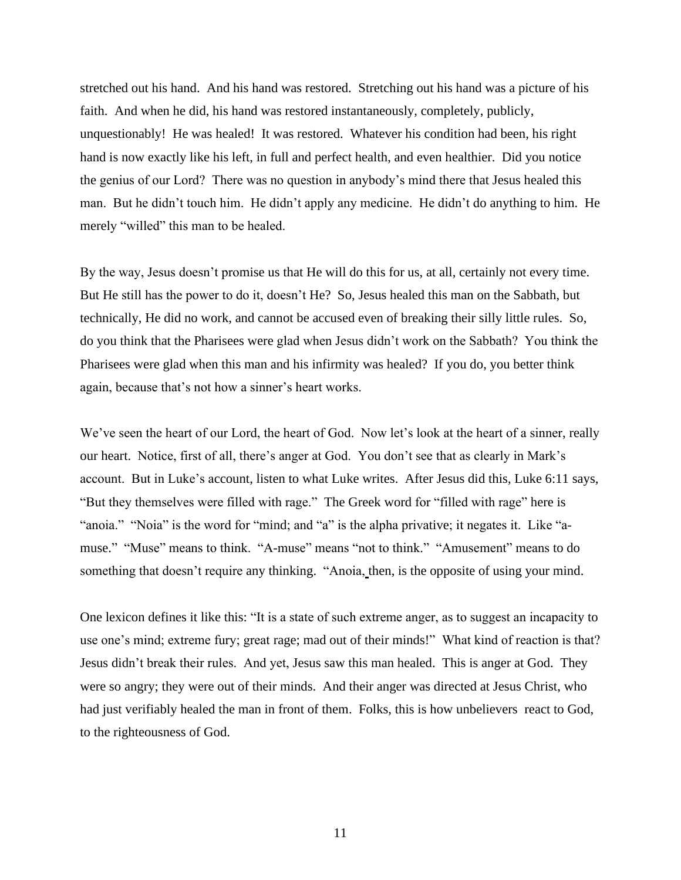stretched out his hand. And his hand was restored. Stretching out his hand was a picture of his faith. And when he did, his hand was restored instantaneously, completely, publicly, unquestionably! He was healed! It was restored. Whatever his condition had been, his right hand is now exactly like his left, in full and perfect health, and even healthier. Did you notice the genius of our Lord? There was no question in anybody's mind there that Jesus healed this man. But he didn't touch him. He didn't apply any medicine. He didn't do anything to him. He merely "willed" this man to be healed.

By the way, Jesus doesn't promise us that He will do this for us, at all, certainly not every time. But He still has the power to do it, doesn't He? So, Jesus healed this man on the Sabbath, but technically, He did no work, and cannot be accused even of breaking their silly little rules. So, do you think that the Pharisees were glad when Jesus didn't work on the Sabbath? You think the Pharisees were glad when this man and his infirmity was healed? If you do, you better think again, because that's not how a sinner's heart works.

We've seen the heart of our Lord, the heart of God. Now let's look at the heart of a sinner, really our heart. Notice, first of all, there's anger at God. You don't see that as clearly in Mark's account. But in Luke's account, listen to what Luke writes. After Jesus did this, Luke 6:11 says, "But they themselves were filled with rage." The Greek word for "filled with rage" here is "anoia." "Noia" is the word for "mind; and "a" is the alpha privative; it negates it. Like "amuse." "Muse" means to think. "A-muse" means "not to think." "Amusement" means to do something that doesn't require any thinking. "Anoia, then, is the opposite of using your mind.

One lexicon defines it like this: "It is a state of such extreme anger, as to suggest an incapacity to use one's mind; extreme fury; great rage; mad out of their minds!" What kind of reaction is that? Jesus didn't break their rules. And yet, Jesus saw this man healed. This is anger at God. They were so angry; they were out of their minds. And their anger was directed at Jesus Christ, who had just verifiably healed the man in front of them. Folks, this is how unbelievers react to God, to the righteousness of God.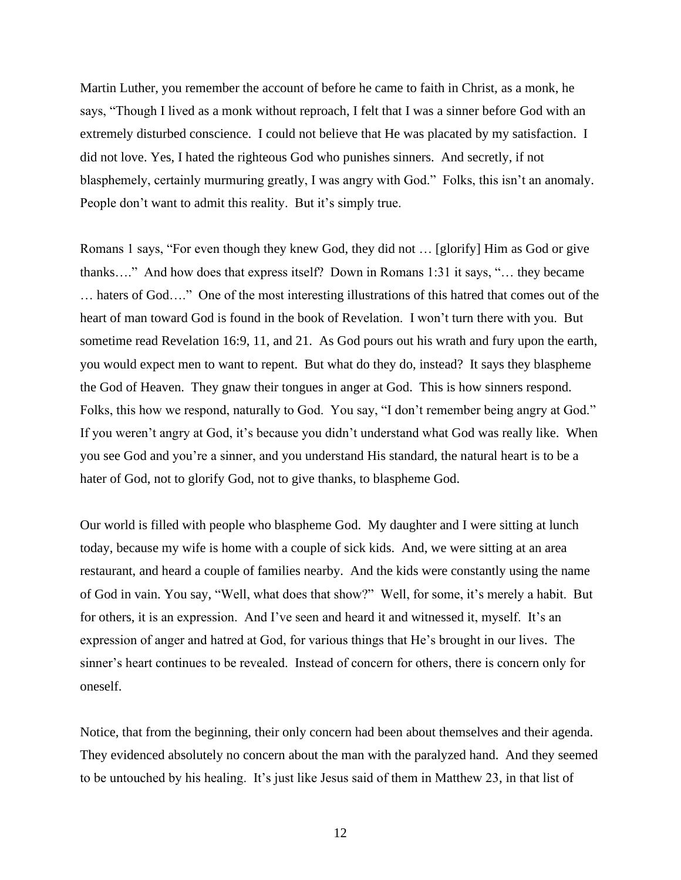Martin Luther, you remember the account of before he came to faith in Christ, as a monk, he says, "Though I lived as a monk without reproach, I felt that I was a sinner before God with an extremely disturbed conscience. I could not believe that He was placated by my satisfaction. I did not love. Yes, I hated the righteous God who punishes sinners. And secretly, if not blasphemely, certainly murmuring greatly, I was angry with God." Folks, this isn't an anomaly. People don't want to admit this reality. But it's simply true.

Romans 1 says, "For even though they knew God, they did not … [glorify] Him as God or give thanks…." And how does that express itself? Down in Romans 1:31 it says, "… they became … haters of God…." One of the most interesting illustrations of this hatred that comes out of the heart of man toward God is found in the book of Revelation. I won't turn there with you. But sometime read Revelation 16:9, 11, and 21. As God pours out his wrath and fury upon the earth, you would expect men to want to repent. But what do they do, instead? It says they blaspheme the God of Heaven. They gnaw their tongues in anger at God. This is how sinners respond. Folks, this how we respond, naturally to God. You say, "I don't remember being angry at God." If you weren't angry at God, it's because you didn't understand what God was really like. When you see God and you're a sinner, and you understand His standard, the natural heart is to be a hater of God, not to glorify God, not to give thanks, to blaspheme God.

Our world is filled with people who blaspheme God. My daughter and I were sitting at lunch today, because my wife is home with a couple of sick kids. And, we were sitting at an area restaurant, and heard a couple of families nearby. And the kids were constantly using the name of God in vain. You say, "Well, what does that show?" Well, for some, it's merely a habit. But for others, it is an expression. And I've seen and heard it and witnessed it, myself. It's an expression of anger and hatred at God, for various things that He's brought in our lives. The sinner's heart continues to be revealed. Instead of concern for others, there is concern only for oneself.

Notice, that from the beginning, their only concern had been about themselves and their agenda. They evidenced absolutely no concern about the man with the paralyzed hand. And they seemed to be untouched by his healing. It's just like Jesus said of them in Matthew 23, in that list of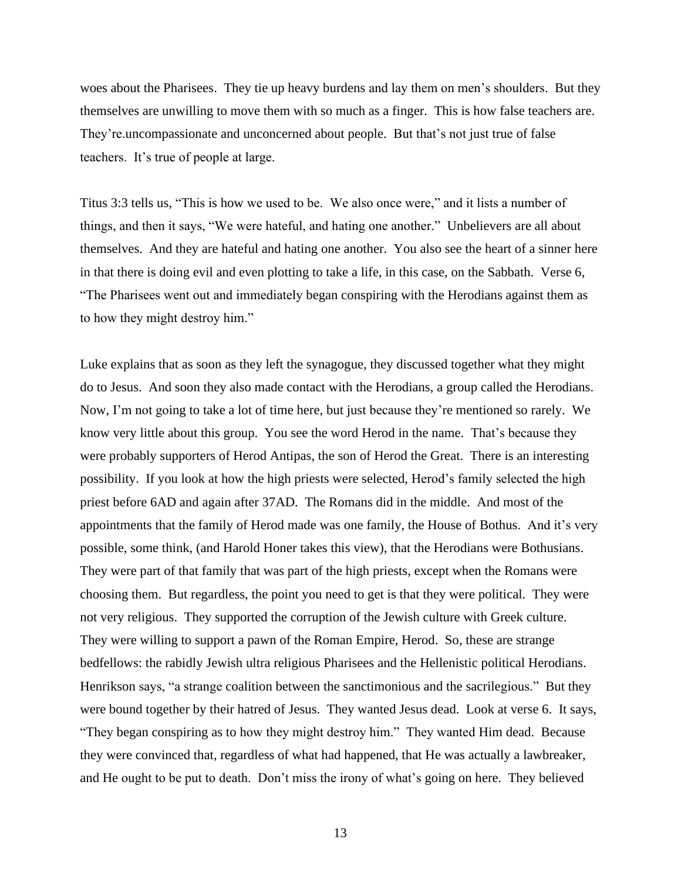woes about the Pharisees. They tie up heavy burdens and lay them on men's shoulders. But they themselves are unwilling to move them with so much as a finger. This is how false teachers are. They're.uncompassionate and unconcerned about people. But that's not just true of false teachers. It's true of people at large.

Titus 3:3 tells us, "This is how we used to be. We also once were," and it lists a number of things, and then it says, "We were hateful, and hating one another." Unbelievers are all about themselves. And they are hateful and hating one another. You also see the heart of a sinner here in that there is doing evil and even plotting to take a life, in this case, on the Sabbath. Verse 6, "The Pharisees went out and immediately began conspiring with the Herodians against them as to how they might destroy him."

Luke explains that as soon as they left the synagogue, they discussed together what they might do to Jesus. And soon they also made contact with the Herodians, a group called the Herodians. Now, I'm not going to take a lot of time here, but just because they're mentioned so rarely. We know very little about this group. You see the word Herod in the name. That's because they were probably supporters of Herod Antipas, the son of Herod the Great. There is an interesting possibility. If you look at how the high priests were selected, Herod's family selected the high priest before 6AD and again after 37AD. The Romans did in the middle. And most of the appointments that the family of Herod made was one family, the House of Bothus. And it's very possible, some think, (and Harold Honer takes this view), that the Herodians were Bothusians. They were part of that family that was part of the high priests, except when the Romans were choosing them. But regardless, the point you need to get is that they were political. They were not very religious. They supported the corruption of the Jewish culture with Greek culture. They were willing to support a pawn of the Roman Empire, Herod. So, these are strange bedfellows: the rabidly Jewish ultra religious Pharisees and the Hellenistic political Herodians. Henrikson says, "a strange coalition between the sanctimonious and the sacrilegious." But they were bound together by their hatred of Jesus. They wanted Jesus dead. Look at verse 6. It says, "They began conspiring as to how they might destroy him." They wanted Him dead. Because they were convinced that, regardless of what had happened, that He was actually a lawbreaker, and He ought to be put to death. Don't miss the irony of what's going on here. They believed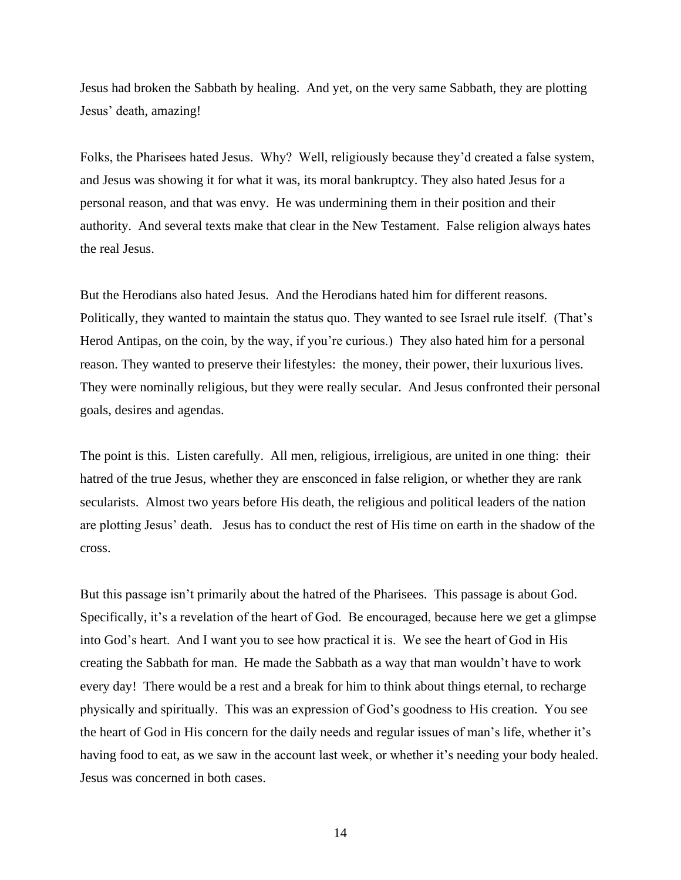Jesus had broken the Sabbath by healing. And yet, on the very same Sabbath, they are plotting Jesus' death, amazing!

Folks, the Pharisees hated Jesus. Why? Well, religiously because they'd created a false system, and Jesus was showing it for what it was, its moral bankruptcy. They also hated Jesus for a personal reason, and that was envy. He was undermining them in their position and their authority. And several texts make that clear in the New Testament. False religion always hates the real Jesus.

But the Herodians also hated Jesus. And the Herodians hated him for different reasons. Politically, they wanted to maintain the status quo. They wanted to see Israel rule itself. (That's Herod Antipas, on the coin, by the way, if you're curious.) They also hated him for a personal reason. They wanted to preserve their lifestyles: the money, their power, their luxurious lives. They were nominally religious, but they were really secular. And Jesus confronted their personal goals, desires and agendas.

The point is this. Listen carefully. All men, religious, irreligious, are united in one thing: their hatred of the true Jesus, whether they are ensconced in false religion, or whether they are rank secularists. Almost two years before His death, the religious and political leaders of the nation are plotting Jesus' death. Jesus has to conduct the rest of His time on earth in the shadow of the cross.

But this passage isn't primarily about the hatred of the Pharisees. This passage is about God. Specifically, it's a revelation of the heart of God. Be encouraged, because here we get a glimpse into God's heart. And I want you to see how practical it is. We see the heart of God in His creating the Sabbath for man. He made the Sabbath as a way that man wouldn't have to work every day! There would be a rest and a break for him to think about things eternal, to recharge physically and spiritually. This was an expression of God's goodness to His creation. You see the heart of God in His concern for the daily needs and regular issues of man's life, whether it's having food to eat, as we saw in the account last week, or whether it's needing your body healed. Jesus was concerned in both cases.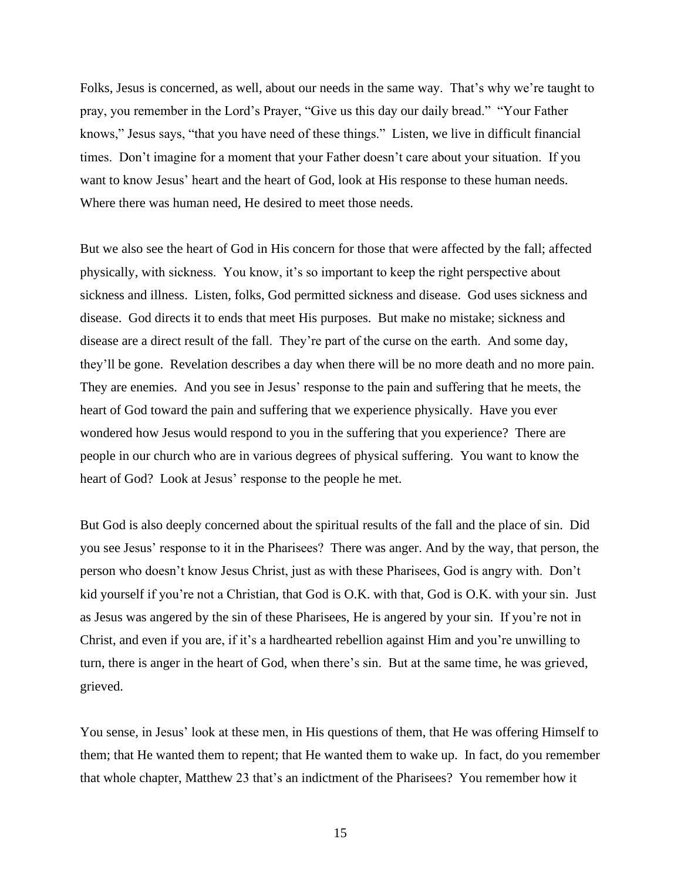Folks, Jesus is concerned, as well, about our needs in the same way. That's why we're taught to pray, you remember in the Lord's Prayer, "Give us this day our daily bread." "Your Father knows," Jesus says, "that you have need of these things." Listen, we live in difficult financial times. Don't imagine for a moment that your Father doesn't care about your situation. If you want to know Jesus' heart and the heart of God, look at His response to these human needs. Where there was human need, He desired to meet those needs.

But we also see the heart of God in His concern for those that were affected by the fall; affected physically, with sickness. You know, it's so important to keep the right perspective about sickness and illness. Listen, folks, God permitted sickness and disease. God uses sickness and disease. God directs it to ends that meet His purposes. But make no mistake; sickness and disease are a direct result of the fall. They're part of the curse on the earth. And some day, they'll be gone. Revelation describes a day when there will be no more death and no more pain. They are enemies. And you see in Jesus' response to the pain and suffering that he meets, the heart of God toward the pain and suffering that we experience physically. Have you ever wondered how Jesus would respond to you in the suffering that you experience? There are people in our church who are in various degrees of physical suffering. You want to know the heart of God? Look at Jesus' response to the people he met.

But God is also deeply concerned about the spiritual results of the fall and the place of sin. Did you see Jesus' response to it in the Pharisees? There was anger. And by the way, that person, the person who doesn't know Jesus Christ, just as with these Pharisees, God is angry with. Don't kid yourself if you're not a Christian, that God is O.K. with that, God is O.K. with your sin. Just as Jesus was angered by the sin of these Pharisees, He is angered by your sin. If you're not in Christ, and even if you are, if it's a hardhearted rebellion against Him and you're unwilling to turn, there is anger in the heart of God, when there's sin. But at the same time, he was grieved, grieved.

You sense, in Jesus' look at these men, in His questions of them, that He was offering Himself to them; that He wanted them to repent; that He wanted them to wake up. In fact, do you remember that whole chapter, Matthew 23 that's an indictment of the Pharisees? You remember how it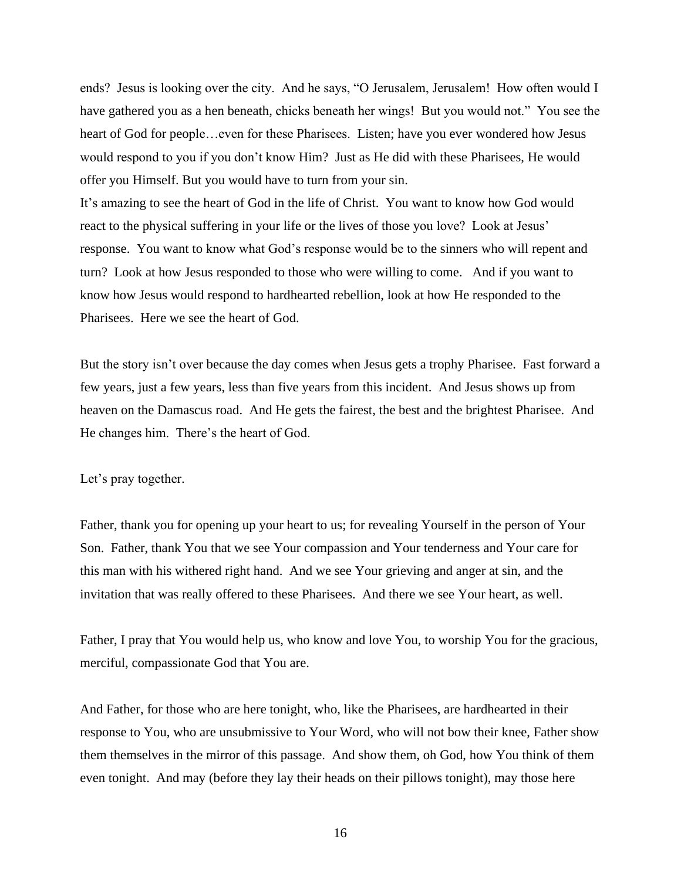ends? Jesus is looking over the city. And he says, "O Jerusalem, Jerusalem! How often would I have gathered you as a hen beneath, chicks beneath her wings! But you would not." You see the heart of God for people...even for these Pharisees. Listen; have you ever wondered how Jesus would respond to you if you don't know Him? Just as He did with these Pharisees, He would offer you Himself. But you would have to turn from your sin.

It's amazing to see the heart of God in the life of Christ. You want to know how God would react to the physical suffering in your life or the lives of those you love? Look at Jesus' response. You want to know what God's response would be to the sinners who will repent and turn? Look at how Jesus responded to those who were willing to come. And if you want to know how Jesus would respond to hardhearted rebellion, look at how He responded to the Pharisees. Here we see the heart of God.

But the story isn't over because the day comes when Jesus gets a trophy Pharisee. Fast forward a few years, just a few years, less than five years from this incident. And Jesus shows up from heaven on the Damascus road. And He gets the fairest, the best and the brightest Pharisee. And He changes him. There's the heart of God.

## Let's pray together.

Father, thank you for opening up your heart to us; for revealing Yourself in the person of Your Son. Father, thank You that we see Your compassion and Your tenderness and Your care for this man with his withered right hand. And we see Your grieving and anger at sin, and the invitation that was really offered to these Pharisees. And there we see Your heart, as well.

Father, I pray that You would help us, who know and love You, to worship You for the gracious, merciful, compassionate God that You are.

And Father, for those who are here tonight, who, like the Pharisees, are hardhearted in their response to You, who are unsubmissive to Your Word, who will not bow their knee, Father show them themselves in the mirror of this passage. And show them, oh God, how You think of them even tonight. And may (before they lay their heads on their pillows tonight), may those here